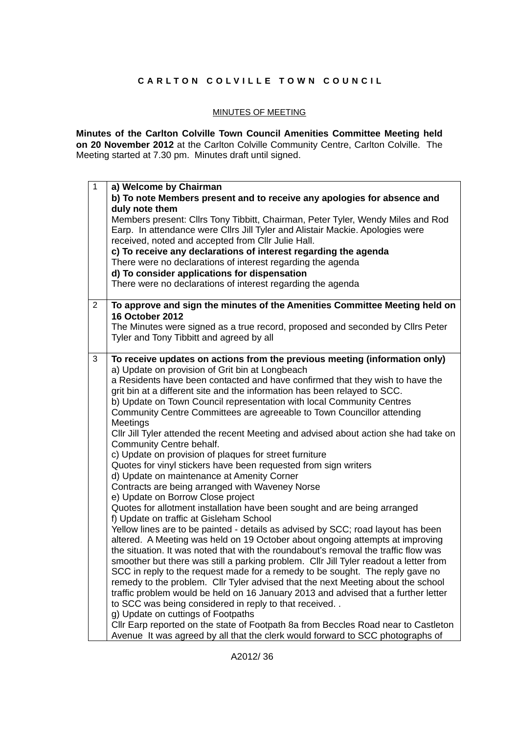## **CARLTON COLVILLE TOWN COUNCIL**

## MINUTES OF MEETING

**Minutes of the Carlton Colville Town Council Amenities Committee Meeting held on 20 November 2012** at the Carlton Colville Community Centre, Carlton Colville. The Meeting started at 7.30 pm. Minutes draft until signed.

| $\mathbf{1}$   | a) Welcome by Chairman                                                                                                                                                                                                 |
|----------------|------------------------------------------------------------------------------------------------------------------------------------------------------------------------------------------------------------------------|
|                | b) To note Members present and to receive any apologies for absence and                                                                                                                                                |
|                | duly note them                                                                                                                                                                                                         |
|                | Members present: Cllrs Tony Tibbitt, Chairman, Peter Tyler, Wendy Miles and Rod<br>Earp. In attendance were Cllrs Jill Tyler and Alistair Mackie. Apologies were<br>received, noted and accepted from Cllr Julie Hall. |
|                | c) To receive any declarations of interest regarding the agenda                                                                                                                                                        |
|                | There were no declarations of interest regarding the agenda                                                                                                                                                            |
|                | d) To consider applications for dispensation                                                                                                                                                                           |
|                | There were no declarations of interest regarding the agenda                                                                                                                                                            |
| $\overline{2}$ | To approve and sign the minutes of the Amenities Committee Meeting held on                                                                                                                                             |
|                | <b>16 October 2012</b>                                                                                                                                                                                                 |
|                | The Minutes were signed as a true record, proposed and seconded by Cllrs Peter<br>Tyler and Tony Tibbitt and agreed by all                                                                                             |
| 3              | To receive updates on actions from the previous meeting (information only)                                                                                                                                             |
|                | a) Update on provision of Grit bin at Longbeach                                                                                                                                                                        |
|                | a Residents have been contacted and have confirmed that they wish to have the<br>grit bin at a different site and the information has been relayed to SCC.                                                             |
|                |                                                                                                                                                                                                                        |
|                | b) Update on Town Council representation with local Community Centres<br>Community Centre Committees are agreeable to Town Councillor attending                                                                        |
|                | Meetings                                                                                                                                                                                                               |
|                | CIIr Jill Tyler attended the recent Meeting and advised about action she had take on<br>Community Centre behalf.                                                                                                       |
|                | c) Update on provision of plaques for street furniture                                                                                                                                                                 |
|                | Quotes for vinyl stickers have been requested from sign writers                                                                                                                                                        |
|                | d) Update on maintenance at Amenity Corner                                                                                                                                                                             |
|                | Contracts are being arranged with Waveney Norse                                                                                                                                                                        |
|                | e) Update on Borrow Close project                                                                                                                                                                                      |
|                | Quotes for allotment installation have been sought and are being arranged<br>f) Update on traffic at Gisleham School                                                                                                   |
|                | Yellow lines are to be painted - details as advised by SCC; road layout has been                                                                                                                                       |
|                | altered. A Meeting was held on 19 October about ongoing attempts at improving                                                                                                                                          |
|                | the situation. It was noted that with the roundabout's removal the traffic flow was                                                                                                                                    |
|                | smoother but there was still a parking problem. Cllr Jill Tyler readout a letter from                                                                                                                                  |
|                | SCC in reply to the request made for a remedy to be sought. The reply gave no                                                                                                                                          |
|                | remedy to the problem. Cllr Tyler advised that the next Meeting about the school                                                                                                                                       |
|                | traffic problem would be held on 16 January 2013 and advised that a further letter                                                                                                                                     |
|                | to SCC was being considered in reply to that received                                                                                                                                                                  |
|                | g) Update on cuttings of Footpaths                                                                                                                                                                                     |
|                | Cllr Earp reported on the state of Footpath 8a from Beccles Road near to Castleton                                                                                                                                     |
|                | Avenue It was agreed by all that the clerk would forward to SCC photographs of                                                                                                                                         |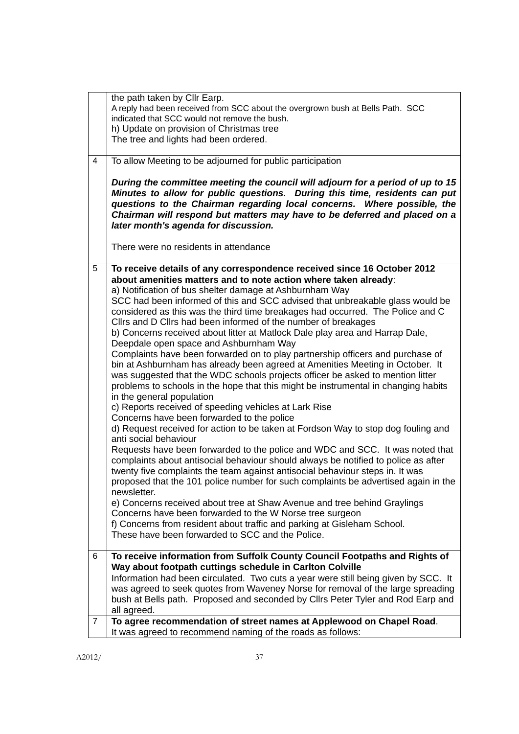|   | the path taken by Cllr Earp.<br>A reply had been received from SCC about the overgrown bush at Bells Path. SCC<br>indicated that SCC would not remove the bush.                                                                                                                                                                                              |
|---|--------------------------------------------------------------------------------------------------------------------------------------------------------------------------------------------------------------------------------------------------------------------------------------------------------------------------------------------------------------|
|   | h) Update on provision of Christmas tree                                                                                                                                                                                                                                                                                                                     |
|   | The tree and lights had been ordered.                                                                                                                                                                                                                                                                                                                        |
| 4 | To allow Meeting to be adjourned for public participation                                                                                                                                                                                                                                                                                                    |
|   | During the committee meeting the council will adjourn for a period of up to 15<br>Minutes to allow for public questions. During this time, residents can put<br>questions to the Chairman regarding local concerns. Where possible, the<br>Chairman will respond but matters may have to be deferred and placed on a<br>later month's agenda for discussion. |
|   | There were no residents in attendance                                                                                                                                                                                                                                                                                                                        |
| 5 | To receive details of any correspondence received since 16 October 2012<br>about amenities matters and to note action where taken already:<br>a) Notification of bus shelter damage at Ashburnham Way<br>SCC had been informed of this and SCC advised that unbreakable glass would be                                                                       |
|   | considered as this was the third time breakages had occurred. The Police and C<br>Cllrs and D Cllrs had been informed of the number of breakages<br>b) Concerns received about litter at Matlock Dale play area and Harrap Dale,                                                                                                                             |
|   | Deepdale open space and Ashburnham Way                                                                                                                                                                                                                                                                                                                       |
|   | Complaints have been forwarded on to play partnership officers and purchase of<br>bin at Ashburnham has already been agreed at Amenities Meeting in October. It                                                                                                                                                                                              |
|   | was suggested that the WDC schools projects officer be asked to mention litter<br>problems to schools in the hope that this might be instrumental in changing habits                                                                                                                                                                                         |
|   | in the general population<br>c) Reports received of speeding vehicles at Lark Rise<br>Concerns have been forwarded to the police                                                                                                                                                                                                                             |
|   | d) Request received for action to be taken at Fordson Way to stop dog fouling and<br>anti social behaviour                                                                                                                                                                                                                                                   |
|   | Requests have been forwarded to the police and WDC and SCC. It was noted that<br>complaints about antisocial behaviour should always be notified to police as after<br>twenty five complaints the team against antisocial behaviour steps in. It was<br>proposed that the 101 police number for such complaints be advertised again in the<br>newsletter.    |
|   | e) Concerns received about tree at Shaw Avenue and tree behind Graylings                                                                                                                                                                                                                                                                                     |
|   | Concerns have been forwarded to the W Norse tree surgeon<br>f) Concerns from resident about traffic and parking at Gisleham School.                                                                                                                                                                                                                          |
|   | These have been forwarded to SCC and the Police.                                                                                                                                                                                                                                                                                                             |
| 6 | To receive information from Suffolk County Council Footpaths and Rights of                                                                                                                                                                                                                                                                                   |
|   | Way about footpath cuttings schedule in Carlton Colville                                                                                                                                                                                                                                                                                                     |
|   | Information had been circulated. Two cuts a year were still being given by SCC. It<br>was agreed to seek quotes from Waveney Norse for removal of the large spreading                                                                                                                                                                                        |
|   | bush at Bells path. Proposed and seconded by Cllrs Peter Tyler and Rod Earp and<br>all agreed.                                                                                                                                                                                                                                                               |
| 7 | To agree recommendation of street names at Applewood on Chapel Road.<br>It was agreed to recommend naming of the roads as follows:                                                                                                                                                                                                                           |
|   |                                                                                                                                                                                                                                                                                                                                                              |